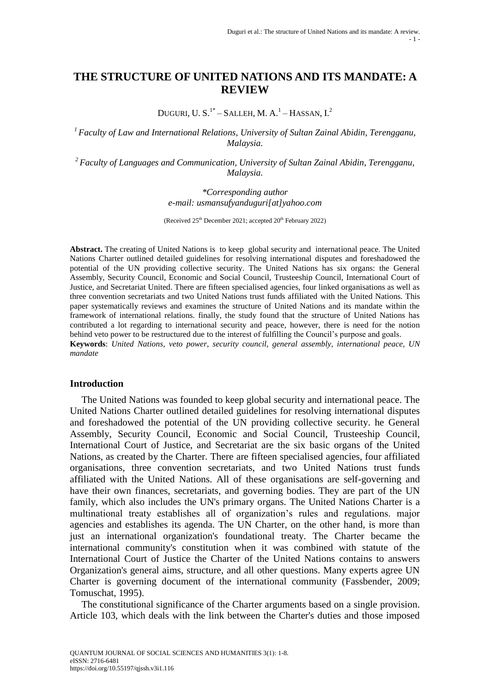# **THE STRUCTURE OF UNITED NATIONS AND ITS MANDATE: A REVIEW**

DUGURI, U. S. $^{1*}$ – Salleh, M. A. $^{1}$ – Hassan, I. $^{2}$ 

*<sup>1</sup>Faculty of Law and International Relations, University of Sultan Zainal Abidin, Terengganu, Malaysia.*

*<sup>2</sup> Faculty of Languages and Communication, University of Sultan Zainal Abidin, Terengganu, Malaysia.*

> *\*Corresponding author e-mail: usmansufyanduguri[at]yahoo.com*

(Received  $25<sup>th</sup>$  December 2021; accepted  $20<sup>th</sup>$  February 2022)

**Abstract.** The creating of United Nations is to keep global security and international peace. The United Nations Charter outlined detailed guidelines for resolving international disputes and foreshadowed the potential of the UN providing collective security. The United Nations has six organs: the General Assembly, Security Council, Economic and Social Council, Trusteeship Council, International Court of Justice, and Secretariat United. There are fifteen specialised agencies, four linked organisations as well as three convention secretariats and two United Nations trust funds affiliated with the United Nations. This paper systematically reviews and examines the structure of United Nations and its mandate within the framework of international relations. finally, the study found that the structure of United Nations has contributed a lot regarding to international security and peace, however, there is need for the notion behind veto power to be restructured due to the interest of fulfilling the Council's purpose and goals.

**Keywords**: *United Nations, veto power, security council, general assembly, international peace, UN mandate*

#### **Introduction**

The United Nations was founded to keep global security and international peace. The United Nations Charter outlined detailed guidelines for resolving international disputes and foreshadowed the potential of the UN providing collective security. he General Assembly, Security Council, Economic and Social Council, Trusteeship Council, International Court of Justice, and Secretariat are the six basic organs of the United Nations, as created by the Charter. There are fifteen specialised agencies, four affiliated organisations, three convention secretariats, and two United Nations trust funds affiliated with the United Nations. All of these organisations are self-governing and have their own finances, secretariats, and governing bodies. They are part of the UN family, which also includes the UN's primary organs. The United Nations Charter is a multinational treaty establishes all of organization's rules and regulations. major agencies and establishes its agenda. The UN Charter, on the other hand, is more than just an international organization's foundational treaty. The Charter became the international community's constitution when it was combined with statute of the International Court of Justice the Charter of the United Nations contains to answers Organization's general aims, structure, and all other questions. Many experts agree UN Charter is governing document of the international community (Fassbender, 2009; Tomuschat, 1995).

The constitutional significance of the Charter arguments based on a single provision. Article 103, which deals with the link between the Charter's duties and those imposed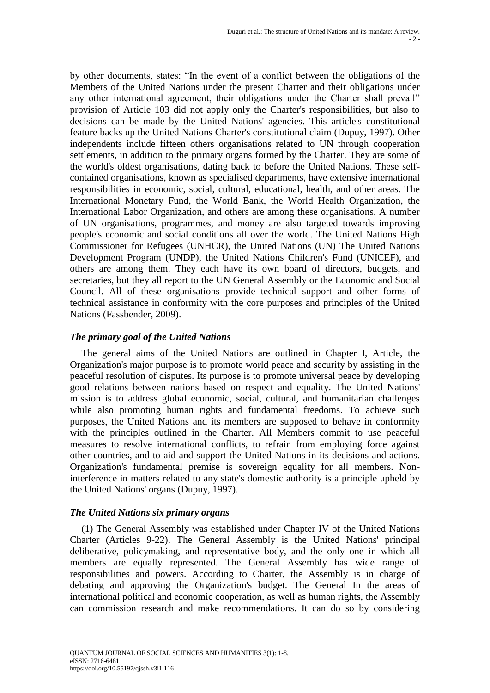by other documents, states: "In the event of a conflict between the obligations of the Members of the United Nations under the present Charter and their obligations under any other international agreement, their obligations under the Charter shall prevail" provision of Article 103 did not apply only the Charter's responsibilities, but also to decisions can be made by the United Nations' agencies. This article's constitutional feature backs up the United Nations Charter's constitutional claim (Dupuy, 1997). Other independents include fifteen others organisations related to UN through cooperation settlements, in addition to the primary organs formed by the Charter. They are some of the world's oldest organisations, dating back to before the United Nations. These selfcontained organisations, known as specialised departments, have extensive international responsibilities in economic, social, cultural, educational, health, and other areas. The International Monetary Fund, the World Bank, the World Health Organization, the International Labor Organization, and others are among these organisations. A number of UN organisations, programmes, and money are also targeted towards improving people's economic and social conditions all over the world. The United Nations High Commissioner for Refugees (UNHCR), the United Nations (UN) The United Nations Development Program (UNDP), the United Nations Children's Fund (UNICEF), and others are among them. They each have its own board of directors, budgets, and secretaries, but they all report to the UN General Assembly or the Economic and Social Council. All of these organisations provide technical support and other forms of technical assistance in conformity with the core purposes and principles of the United Nations (Fassbender, 2009).

# *The primary goal of the United Nations*

The general aims of the United Nations are outlined in Chapter I, Article, the Organization's major purpose is to promote world peace and security by assisting in the peaceful resolution of disputes. Its purpose is to promote universal peace by developing good relations between nations based on respect and equality. The United Nations' mission is to address global economic, social, cultural, and humanitarian challenges while also promoting human rights and fundamental freedoms. To achieve such purposes, the United Nations and its members are supposed to behave in conformity with the principles outlined in the Charter. All Members commit to use peaceful measures to resolve international conflicts, to refrain from employing force against other countries, and to aid and support the United Nations in its decisions and actions. Organization's fundamental premise is sovereign equality for all members. Noninterference in matters related to any state's domestic authority is a principle upheld by the United Nations' organs (Dupuy, 1997).

# *The United Nations six primary organs*

(1) The General Assembly was established under Chapter IV of the United Nations Charter (Articles 9-22). The General Assembly is the United Nations' principal deliberative, policymaking, and representative body, and the only one in which all members are equally represented. The General Assembly has wide range of responsibilities and powers. According to Charter, the Assembly is in charge of debating and approving the Organization's budget. The General In the areas of international political and economic cooperation, as well as human rights, the Assembly can commission research and make recommendations. It can do so by considering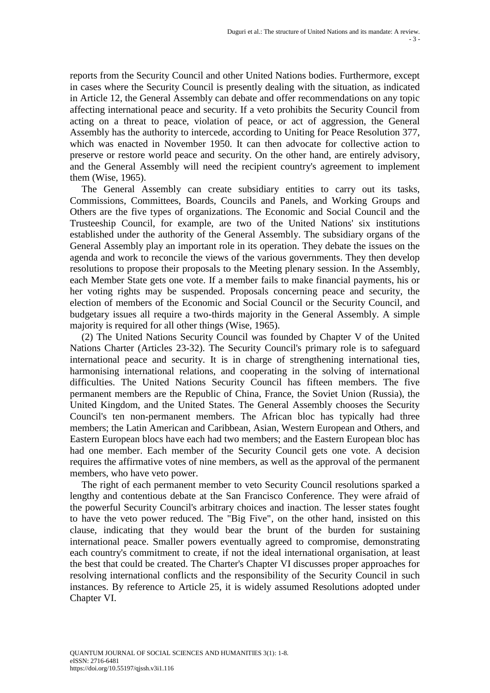reports from the Security Council and other United Nations bodies. Furthermore, except in cases where the Security Council is presently dealing with the situation, as indicated in Article 12, the General Assembly can debate and offer recommendations on any topic affecting international peace and security. If a veto prohibits the Security Council from acting on a threat to peace, violation of peace, or act of aggression, the General Assembly has the authority to intercede, according to Uniting for Peace Resolution 377, which was enacted in November 1950. It can then advocate for collective action to preserve or restore world peace and security. On the other hand, are entirely advisory, and the General Assembly will need the recipient country's agreement to implement them (Wise, 1965).

The General Assembly can create subsidiary entities to carry out its tasks, Commissions, Committees, Boards, Councils and Panels, and Working Groups and Others are the five types of organizations. The Economic and Social Council and the Trusteeship Council, for example, are two of the United Nations' six institutions established under the authority of the General Assembly. The subsidiary organs of the General Assembly play an important role in its operation. They debate the issues on the agenda and work to reconcile the views of the various governments. They then develop resolutions to propose their proposals to the Meeting plenary session. In the Assembly, each Member State gets one vote. If a member fails to make financial payments, his or her voting rights may be suspended. Proposals concerning peace and security, the election of members of the Economic and Social Council or the Security Council, and budgetary issues all require a two-thirds majority in the General Assembly. A simple majority is required for all other things (Wise, 1965).

(2) The United Nations Security Council was founded by Chapter V of the United Nations Charter (Articles 23-32). The Security Council's primary role is to safeguard international peace and security. It is in charge of strengthening international ties, harmonising international relations, and cooperating in the solving of international difficulties. The United Nations Security Council has fifteen members. The five permanent members are the Republic of China, France, the Soviet Union (Russia), the United Kingdom, and the United States. The General Assembly chooses the Security Council's ten non-permanent members. The African bloc has typically had three members; the Latin American and Caribbean, Asian, Western European and Others, and Eastern European blocs have each had two members; and the Eastern European bloc has had one member. Each member of the Security Council gets one vote. A decision requires the affirmative votes of nine members, as well as the approval of the permanent members, who have veto power.

The right of each permanent member to veto Security Council resolutions sparked a lengthy and contentious debate at the San Francisco Conference. They were afraid of the powerful Security Council's arbitrary choices and inaction. The lesser states fought to have the veto power reduced. The "Big Five", on the other hand, insisted on this clause, indicating that they would bear the brunt of the burden for sustaining international peace. Smaller powers eventually agreed to compromise, demonstrating each country's commitment to create, if not the ideal international organisation, at least the best that could be created. The Charter's Chapter VI discusses proper approaches for resolving international conflicts and the responsibility of the Security Council in such instances. By reference to Article 25, it is widely assumed Resolutions adopted under Chapter VI.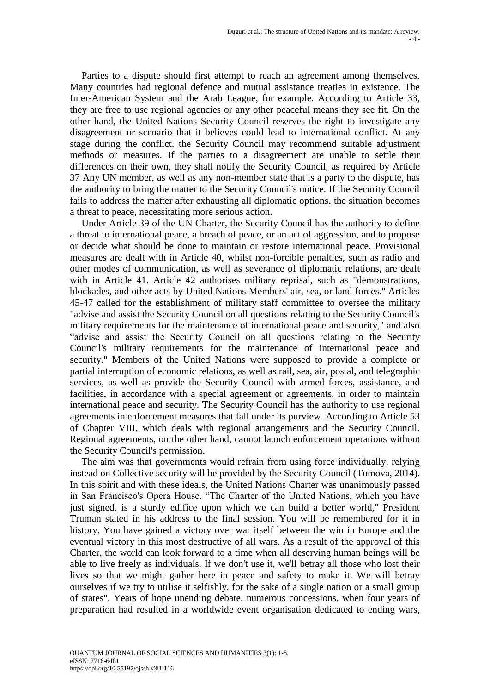Parties to a dispute should first attempt to reach an agreement among themselves. Many countries had regional defence and mutual assistance treaties in existence. The Inter-American System and the Arab League, for example. According to Article 33, they are free to use regional agencies or any other peaceful means they see fit. On the other hand, the United Nations Security Council reserves the right to investigate any disagreement or scenario that it believes could lead to international conflict. At any stage during the conflict, the Security Council may recommend suitable adjustment methods or measures. If the parties to a disagreement are unable to settle their differences on their own, they shall notify the Security Council, as required by Article 37 Any UN member, as well as any non-member state that is a party to the dispute, has the authority to bring the matter to the Security Council's notice. If the Security Council fails to address the matter after exhausting all diplomatic options, the situation becomes a threat to peace, necessitating more serious action.

Under Article 39 of the UN Charter, the Security Council has the authority to define a threat to international peace, a breach of peace, or an act of aggression, and to propose or decide what should be done to maintain or restore international peace. Provisional measures are dealt with in Article 40, whilst non-forcible penalties, such as radio and other modes of communication, as well as severance of diplomatic relations, are dealt with in Article 41. Article 42 authorises military reprisal, such as "demonstrations, blockades, and other acts by United Nations Members' air, sea, or land forces." Articles 45-47 called for the establishment of military staff committee to oversee the military "advise and assist the Security Council on all questions relating to the Security Council's military requirements for the maintenance of international peace and security," and also "advise and assist the Security Council on all questions relating to the Security Council's military requirements for the maintenance of international peace and security." Members of the United Nations were supposed to provide a complete or partial interruption of economic relations, as well as rail, sea, air, postal, and telegraphic services, as well as provide the Security Council with armed forces, assistance, and facilities, in accordance with a special agreement or agreements, in order to maintain international peace and security. The Security Council has the authority to use regional agreements in enforcement measures that fall under its purview. According to Article 53 of Chapter VIII, which deals with regional arrangements and the Security Council. Regional agreements, on the other hand, cannot launch enforcement operations without the Security Council's permission.

The aim was that governments would refrain from using force individually, relying instead on Collective security will be provided by the Security Council (Tomova, 2014). In this spirit and with these ideals, the United Nations Charter was unanimously passed in San Francisco's Opera House. "The Charter of the United Nations, which you have just signed, is a sturdy edifice upon which we can build a better world," President Truman stated in his address to the final session. You will be remembered for it in history. You have gained a victory over war itself between the win in Europe and the eventual victory in this most destructive of all wars. As a result of the approval of this Charter, the world can look forward to a time when all deserving human beings will be able to live freely as individuals. If we don't use it, we'll betray all those who lost their lives so that we might gather here in peace and safety to make it. We will betray ourselves if we try to utilise it selfishly, for the sake of a single nation or a small group of states". Years of hope unending debate, numerous concessions, when four years of preparation had resulted in a worldwide event organisation dedicated to ending wars,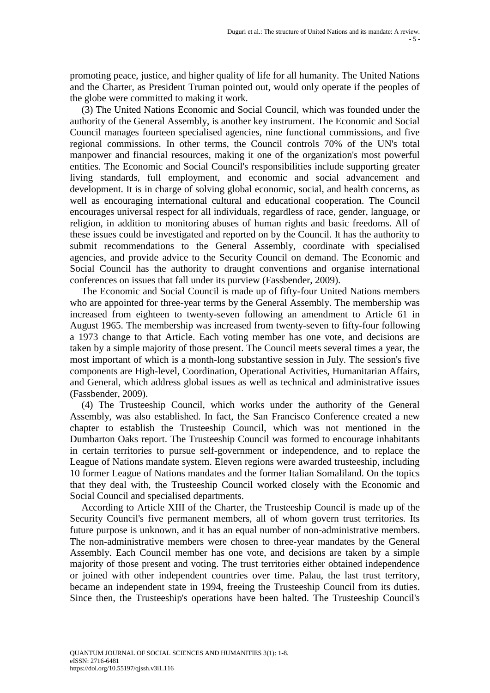promoting peace, justice, and higher quality of life for all humanity. The United Nations and the Charter, as President Truman pointed out, would only operate if the peoples of the globe were committed to making it work.

(3) The United Nations Economic and Social Council, which was founded under the authority of the General Assembly, is another key instrument. The Economic and Social Council manages fourteen specialised agencies, nine functional commissions, and five regional commissions. In other terms, the Council controls 70% of the UN's total manpower and financial resources, making it one of the organization's most powerful entities. The Economic and Social Council's responsibilities include supporting greater living standards, full employment, and economic and social advancement and development. It is in charge of solving global economic, social, and health concerns, as well as encouraging international cultural and educational cooperation. The Council encourages universal respect for all individuals, regardless of race, gender, language, or religion, in addition to monitoring abuses of human rights and basic freedoms. All of these issues could be investigated and reported on by the Council. It has the authority to submit recommendations to the General Assembly, coordinate with specialised agencies, and provide advice to the Security Council on demand. The Economic and Social Council has the authority to draught conventions and organise international conferences on issues that fall under its purview (Fassbender, 2009).

The Economic and Social Council is made up of fifty-four United Nations members who are appointed for three-year terms by the General Assembly. The membership was increased from eighteen to twenty-seven following an amendment to Article 61 in August 1965. The membership was increased from twenty-seven to fifty-four following a 1973 change to that Article. Each voting member has one vote, and decisions are taken by a simple majority of those present. The Council meets several times a year, the most important of which is a month-long substantive session in July. The session's five components are High-level, Coordination, Operational Activities, Humanitarian Affairs, and General, which address global issues as well as technical and administrative issues (Fassbender, 2009).

(4) The Trusteeship Council, which works under the authority of the General Assembly, was also established. In fact, the San Francisco Conference created a new chapter to establish the Trusteeship Council, which was not mentioned in the Dumbarton Oaks report. The Trusteeship Council was formed to encourage inhabitants in certain territories to pursue self-government or independence, and to replace the League of Nations mandate system. Eleven regions were awarded trusteeship, including 10 former League of Nations mandates and the former Italian Somaliland. On the topics that they deal with, the Trusteeship Council worked closely with the Economic and Social Council and specialised departments.

According to Article XIII of the Charter, the Trusteeship Council is made up of the Security Council's five permanent members, all of whom govern trust territories. Its future purpose is unknown, and it has an equal number of non-administrative members. The non-administrative members were chosen to three-year mandates by the General Assembly. Each Council member has one vote, and decisions are taken by a simple majority of those present and voting. The trust territories either obtained independence or joined with other independent countries over time. Palau, the last trust territory, became an independent state in 1994, freeing the Trusteeship Council from its duties. Since then, the Trusteeship's operations have been halted. The Trusteeship Council's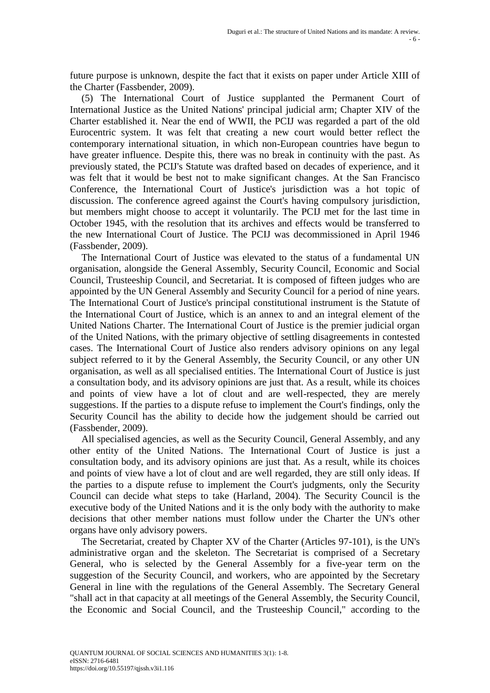future purpose is unknown, despite the fact that it exists on paper under Article XIII of the Charter (Fassbender, 2009).

(5) The International Court of Justice supplanted the Permanent Court of International Justice as the United Nations' principal judicial arm; Chapter XIV of the Charter established it. Near the end of WWII, the PCIJ was regarded a part of the old Eurocentric system. It was felt that creating a new court would better reflect the contemporary international situation, in which non-European countries have begun to have greater influence. Despite this, there was no break in continuity with the past. As previously stated, the PCIJ's Statute was drafted based on decades of experience, and it was felt that it would be best not to make significant changes. At the San Francisco Conference, the International Court of Justice's jurisdiction was a hot topic of discussion. The conference agreed against the Court's having compulsory jurisdiction, but members might choose to accept it voluntarily. The PCIJ met for the last time in October 1945, with the resolution that its archives and effects would be transferred to the new International Court of Justice. The PCIJ was decommissioned in April 1946 (Fassbender, 2009).

The International Court of Justice was elevated to the status of a fundamental UN organisation, alongside the General Assembly, Security Council, Economic and Social Council, Trusteeship Council, and Secretariat. It is composed of fifteen judges who are appointed by the UN General Assembly and Security Council for a period of nine years. The International Court of Justice's principal constitutional instrument is the Statute of the International Court of Justice, which is an annex to and an integral element of the United Nations Charter. The International Court of Justice is the premier judicial organ of the United Nations, with the primary objective of settling disagreements in contested cases. The International Court of Justice also renders advisory opinions on any legal subject referred to it by the General Assembly, the Security Council, or any other UN organisation, as well as all specialised entities. The International Court of Justice is just a consultation body, and its advisory opinions are just that. As a result, while its choices and points of view have a lot of clout and are well-respected, they are merely suggestions. If the parties to a dispute refuse to implement the Court's findings, only the Security Council has the ability to decide how the judgement should be carried out (Fassbender, 2009).

All specialised agencies, as well as the Security Council, General Assembly, and any other entity of the United Nations. The International Court of Justice is just a consultation body, and its advisory opinions are just that. As a result, while its choices and points of view have a lot of clout and are well regarded, they are still only ideas. If the parties to a dispute refuse to implement the Court's judgments, only the Security Council can decide what steps to take (Harland, 2004). The Security Council is the executive body of the United Nations and it is the only body with the authority to make decisions that other member nations must follow under the Charter the UN's other organs have only advisory powers.

The Secretariat, created by Chapter XV of the Charter (Articles 97-101), is the UN's administrative organ and the skeleton. The Secretariat is comprised of a Secretary General, who is selected by the General Assembly for a five-year term on the suggestion of the Security Council, and workers, who are appointed by the Secretary General in line with the regulations of the General Assembly. The Secretary General "shall act in that capacity at all meetings of the General Assembly, the Security Council, the Economic and Social Council, and the Trusteeship Council," according to the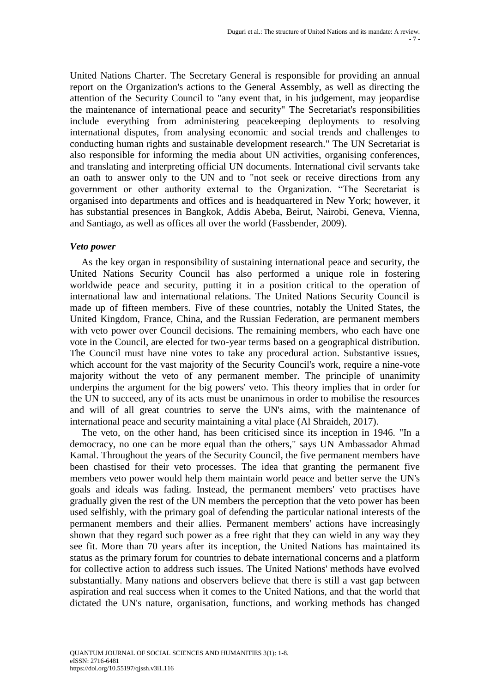United Nations Charter. The Secretary General is responsible for providing an annual report on the Organization's actions to the General Assembly, as well as directing the attention of the Security Council to "any event that, in his judgement, may jeopardise the maintenance of international peace and security" The Secretariat's responsibilities include everything from administering peacekeeping deployments to resolving international disputes, from analysing economic and social trends and challenges to conducting human rights and sustainable development research." The UN Secretariat is also responsible for informing the media about UN activities, organising conferences, and translating and interpreting official UN documents. International civil servants take an oath to answer only to the UN and to "not seek or receive directions from any government or other authority external to the Organization. "The Secretariat is organised into departments and offices and is headquartered in New York; however, it has substantial presences in Bangkok, Addis Abeba, Beirut, Nairobi, Geneva, Vienna, and Santiago, as well as offices all over the world (Fassbender, 2009).

### *Veto power*

As the key organ in responsibility of sustaining international peace and security, the United Nations Security Council has also performed a unique role in fostering worldwide peace and security, putting it in a position critical to the operation of international law and international relations. The United Nations Security Council is made up of fifteen members. Five of these countries, notably the United States, the United Kingdom, France, China, and the Russian Federation, are permanent members with veto power over Council decisions. The remaining members, who each have one vote in the Council, are elected for two-year terms based on a geographical distribution. The Council must have nine votes to take any procedural action. Substantive issues, which account for the vast majority of the Security Council's work, require a nine-vote majority without the veto of any permanent member. The principle of unanimity underpins the argument for the big powers' veto. This theory implies that in order for the UN to succeed, any of its acts must be unanimous in order to mobilise the resources and will of all great countries to serve the UN's aims, with the maintenance of international peace and security maintaining a vital place (Al Shraideh, 2017).

The veto, on the other hand, has been criticised since its inception in 1946. "In a democracy, no one can be more equal than the others," says UN Ambassador Ahmad Kamal. Throughout the years of the Security Council, the five permanent members have been chastised for their veto processes. The idea that granting the permanent five members veto power would help them maintain world peace and better serve the UN's goals and ideals was fading. Instead, the permanent members' veto practises have gradually given the rest of the UN members the perception that the veto power has been used selfishly, with the primary goal of defending the particular national interests of the permanent members and their allies. Permanent members' actions have increasingly shown that they regard such power as a free right that they can wield in any way they see fit. More than 70 years after its inception, the United Nations has maintained its status as the primary forum for countries to debate international concerns and a platform for collective action to address such issues. The United Nations' methods have evolved substantially. Many nations and observers believe that there is still a vast gap between aspiration and real success when it comes to the United Nations, and that the world that dictated the UN's nature, organisation, functions, and working methods has changed